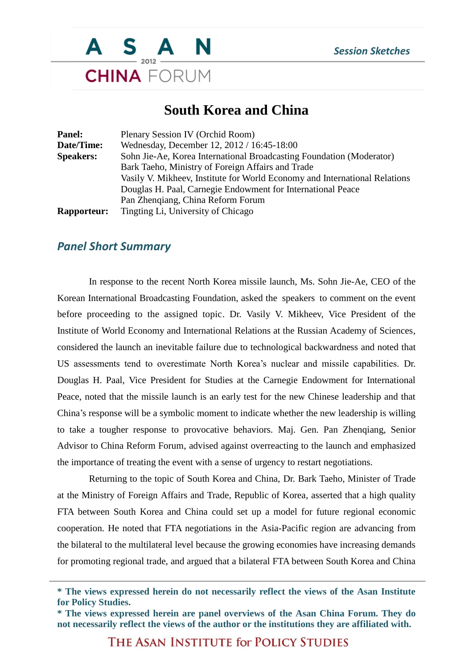

## **South Korea and China**

| Panel:             | Plenary Session IV (Orchid Room)                                           |
|--------------------|----------------------------------------------------------------------------|
| Date/Time:         | Wednesday, December 12, 2012 / 16:45-18:00                                 |
| <b>Speakers:</b>   | Sohn Jie-Ae, Korea International Broadcasting Foundation (Moderator)       |
|                    | Bark Taeho, Ministry of Foreign Affairs and Trade                          |
|                    | Vasily V. Mikheev, Institute for World Economy and International Relations |
|                    | Douglas H. Paal, Carnegie Endowment for International Peace                |
|                    | Pan Zhenqiang, China Reform Forum                                          |
| <b>Rapporteur:</b> | Tingting Li, University of Chicago                                         |

## *Panel Short Summary*

In response to the recent North Korea missile launch, Ms. Sohn Jie-Ae, CEO of the Korean International Broadcasting Foundation, asked the speakers to comment on the event before proceeding to the assigned topic. Dr. Vasily V. Mikheev, Vice President of the Institute of World Economy and International Relations at the Russian Academy of Sciences, considered the launch an inevitable failure due to technological backwardness and noted that US assessments tend to overestimate North Korea's nuclear and missile capabilities. Dr. Douglas H. Paal, Vice President for Studies at the Carnegie Endowment for International Peace, noted that the missile launch is an early test for the new Chinese leadership and that China's response will be a symbolic moment to indicate whether the new leadership is willing to take a tougher response to provocative behaviors. Maj. Gen. Pan Zhenqiang, Senior Advisor to China Reform Forum, advised against overreacting to the launch and emphasized the importance of treating the event with a sense of urgency to restart negotiations.

Returning to the topic of South Korea and China, Dr. Bark Taeho, Minister of Trade at the Ministry of Foreign Affairs and Trade, Republic of Korea, asserted that a high quality FTA between South Korea and China could set up a model for future regional economic cooperation. He noted that FTA negotiations in the Asia-Pacific region are advancing from the bilateral to the multilateral level because the growing economies have increasing demands for promoting regional trade, and argued that a bilateral FTA between South Korea and China

THE ASAN INSTITUTE for POLICY STUDIES

**<sup>\*</sup> The views expressed herein do not necessarily reflect the views of the Asan Institute for Policy Studies.**

**<sup>\*</sup> The views expressed herein are panel overviews of the Asan China Forum. They do not necessarily reflect the views of the author or the institutions they are affiliated with.**